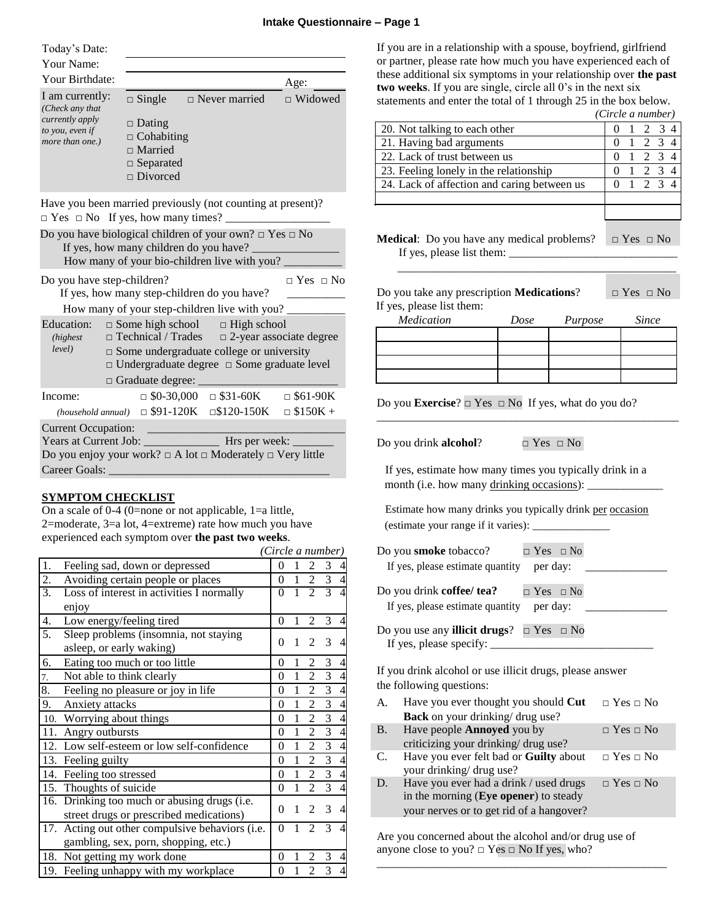Today's Date:

| Your Name:                                            |                                                                                             |                      |                |
|-------------------------------------------------------|---------------------------------------------------------------------------------------------|----------------------|----------------|
| Your Birthdate:                                       |                                                                                             |                      | Age:           |
| I am currently:<br>(Check any that                    | $\Box$ Single                                                                               | $\Box$ Never married | $\Box$ Widowed |
| currently apply<br>to you, even if<br>more than one.) | $\Box$ Dating<br>$\Box$ Cohabiting<br>$\Box$ Married<br>$\Box$ Separated<br>$\Box$ Divorced |                      |                |

Have you been married previously (not counting at present)?  $\Box$  Yes  $\Box$  No If yes, how many times?

|                                        |                                                                                                                   |                                                 | Do you have biological children of your own? $\Box$ Yes $\Box$ No         |                      |  |  |
|----------------------------------------|-------------------------------------------------------------------------------------------------------------------|-------------------------------------------------|---------------------------------------------------------------------------|----------------------|--|--|
| If yes, how many children do you have? |                                                                                                                   |                                                 |                                                                           |                      |  |  |
|                                        | How many of your bio-children live with you?                                                                      |                                                 |                                                                           |                      |  |  |
| Do you have step-children?             |                                                                                                                   |                                                 |                                                                           | $\Box$ Yes $\Box$ No |  |  |
|                                        |                                                                                                                   | If yes, how many step-children do you have?     |                                                                           |                      |  |  |
|                                        |                                                                                                                   |                                                 | How many of your step-children live with you?                             |                      |  |  |
| (highest)                              | Education: $\Box$ Some high school $\Box$ High school<br>$\Box$ Technical / Trades $\Box$ 2-year associate degree |                                                 |                                                                           |                      |  |  |
| level)                                 |                                                                                                                   |                                                 | $\Box$ Some undergraduate college or university                           |                      |  |  |
|                                        |                                                                                                                   |                                                 | $\Box$ Undergraduate degree $\Box$ Some graduate level                    |                      |  |  |
|                                        |                                                                                                                   |                                                 | $\Box$ Graduate degree:                                                   |                      |  |  |
| Income:                                |                                                                                                                   |                                                 | $\Box$ \$0-30,000 $\Box$ \$31-60K $\Box$ \$61-90K                         |                      |  |  |
|                                        |                                                                                                                   |                                                 | (household annual) $\Box$ \$91-120K $\Box$ \$120-150K $\Box$ \$150K +     |                      |  |  |
| <b>Current Occupation:</b>             |                                                                                                                   | <u> 1989 - Johann Barnett, fransk fotballsk</u> |                                                                           |                      |  |  |
|                                        |                                                                                                                   |                                                 |                                                                           |                      |  |  |
|                                        |                                                                                                                   |                                                 | Do you enjoy your work? $\Box$ A lot $\Box$ Moderately $\Box$ Very little |                      |  |  |
|                                        |                                                                                                                   | Career Goals: <b>Example 2018</b>               |                                                                           |                      |  |  |
|                                        |                                                                                                                   |                                                 |                                                                           |                      |  |  |

# **SYMPTOM CHECKLIST**

On a scale of 0-4 (0=none or not applicable, 1=a little, 2=moderate, 3=a lot, 4=extreme) rate how much you have experienced each symptom over **the past two weeks**.  $\sqrt{C}$   $I$   $I$   $I$ 

|    |                                                 | (Circle a number) |              |                             |                |                |
|----|-------------------------------------------------|-------------------|--------------|-----------------------------|----------------|----------------|
| 1. | Feeling sad, down or depressed                  | 0                 |              | $\mathfrak{D}$              |                | $3\quad4$      |
| 2. | Avoiding certain people or places               | $\theta$          | 1            | $\overline{2}$              | 3 <sub>4</sub> |                |
| 3. | Loss of interest in activities I normally       | $\Omega$          | $\mathbf{1}$ | $\mathfrak{D}$              | 3              | $\overline{4}$ |
|    | enjoy                                           |                   |              |                             |                |                |
| 4. | Low energy/feeling tired                        | $\overline{0}$    | 1            | $\overline{2}$              | 3              | $\overline{4}$ |
| 5. | Sleep problems (insomnia, not staying           |                   |              | $\mathfrak{D}$              | 3              |                |
|    | asleep, or early waking)                        | 0                 |              |                             |                | $\overline{4}$ |
| 6. | Eating too much or too little                   | 0                 |              | 2                           | 3              | $\overline{4}$ |
| 7. | Not able to think clearly                       | 0                 | 1            | $\overline{2}$              | 3 <sub>4</sub> |                |
| 8. | Feeling no pleasure or joy in life              | 0                 | 1            | 2                           | 3 <sub>4</sub> |                |
| 9. | Anxiety attacks                                 | 0                 | $\mathbf{1}$ | $\overline{2}$              | 3 <sub>4</sub> |                |
|    | 10. Worrying about things                       | 0                 | 1            | $\overline{2}$              | 3 <sub>4</sub> |                |
|    | 11. Angry outbursts                             | 0                 | 1            | $\overline{c}$              | 3 <sub>4</sub> |                |
|    | 12. Low self-esteem or low self-confidence      | $\theta$          | 1            | 2                           | 3 <sub>4</sub> |                |
|    | 13. Feeling guilty                              | 0                 | 1            | $\overline{2}$              | 3 <sub>4</sub> |                |
|    | 14. Feeling too stressed                        | 0                 | $\mathbf{1}$ | $\overline{2}$              | 3 <sub>4</sub> |                |
|    | 15. Thoughts of suicide                         | $\boldsymbol{0}$  | $\mathbf{1}$ | $\overline{2}$              | 3              | $\overline{4}$ |
|    | 16. Drinking too much or abusing drugs (i.e.    | 0                 |              | $\mathcal{D}_{\mathcal{L}}$ | 3              |                |
|    | street drugs or prescribed medications)         |                   |              |                             |                | $\overline{4}$ |
|    | 17. Acting out other compulsive behaviors (i.e. | 0                 |              | $\mathfrak{D}$              | 3              | $\overline{4}$ |
|    | gambling, sex, porn, shopping, etc.)            |                   |              |                             |                |                |
|    | 18. Not getting my work done                    | 0                 |              |                             | 3              | $\overline{4}$ |
|    | 19. Feeling unhappy with my workplace           | 0                 | 1            | $\overline{2}$              | 3              | $\overline{4}$ |
|    |                                                 |                   |              |                             |                |                |

If you are in a relationship with a spouse, boyfriend, girlfriend or partner, please rate how much you have experienced each of these additional six symptoms in your relationship over **the past two weeks**. If you are single, circle all 0's in the next six statements and enter the total of 1 through 25 in the box below. *(Circle a number)*

|                                                                                 |      |         | (Circle a number) |                      |                 |             |  |
|---------------------------------------------------------------------------------|------|---------|-------------------|----------------------|-----------------|-------------|--|
| 20. Not talking to each other                                                   |      |         |                   |                      |                 | 2 3 4       |  |
| 21. Having bad arguments                                                        |      |         | $\Omega$          |                      | $1 \t2 \t3 \t4$ |             |  |
| 22. Lack of trust between us                                                    |      |         | $\Omega$          | $\mathbf{1}$         |                 | $2 \t3 \t4$ |  |
| 23. Feeling lonely in the relationship                                          |      |         | $\theta$          | $\mathbf{1}$         | 2 3 4           |             |  |
| 24. Lack of affection and caring between us                                     |      |         | 0                 |                      |                 | 2 3 4       |  |
|                                                                                 |      |         |                   |                      |                 |             |  |
|                                                                                 |      |         |                   |                      |                 |             |  |
| <b>Medical</b> : Do you have any medical problems?<br>If yes, please list them: |      |         |                   | $\Box$ Yes $\Box$ No |                 |             |  |
|                                                                                 |      |         |                   |                      |                 |             |  |
| Do you take any prescription Medications?                                       |      |         |                   | $\Box$ Yes $\Box$ No |                 |             |  |
| If yes, please list them:<br>Medication                                         |      |         |                   |                      | Since           |             |  |
|                                                                                 | Dose | Purpose |                   |                      |                 |             |  |

| 1110000000000 | DUNC | 1.0000 | $\cup$ $\cdots$ |
|---------------|------|--------|-----------------|
|               |      |        |                 |
|               |      |        |                 |
|               |      |        |                 |
|               |      |        |                 |

\_\_\_\_\_\_\_\_\_\_\_\_\_\_\_\_\_\_\_\_\_\_\_\_\_\_\_\_\_\_\_\_\_\_\_\_\_\_\_\_\_\_\_\_\_\_\_\_\_\_\_\_

Do you **Exercise**? □ Yes □ No If yes, what do you do?

Do you drink **alcohol**? □ Yes □ No

If yes, estimate how many times you typically drink in a month (i.e. how many drinking occasions):

Estimate how many drinks you typically drink per occasion (estimate your range if it varies): \_\_\_\_\_\_\_\_\_\_\_\_\_\_

| Do you <b>smoke</b> tobacco?<br>$\Box$ Yes $\Box$ No                                                   |
|--------------------------------------------------------------------------------------------------------|
| If yes, please estimate quantity per day:                                                              |
| Do you drink <b>coffee</b> / tea?<br>$\Box$ Yes $\Box$ No<br>If yes, please estimate quantity per day: |
| Do you use any <b>illicit drugs</b> ? $\Box$ Yes $\Box$ No                                             |

If yes, please specify:

If you drink alcohol or use illicit drugs, please answer the following questions:

- A. Have you ever thought you should  $Cut$   $\Box$  Yes  $\Box$  No **Back** on your drinking/ drug use?
- B. Have people **Annoyed** you by □ Yes □ No criticizing your drinking/ drug use? C. Have you ever felt bad or **Guilty** about □ Yes □ No
- your drinking/ drug use? D. Have you ever had a drink / used drugs  $\Box$  Yes  $\Box$  No in the morning (**Eye opener**) to steady your nerves or to get rid of a hangover?

\_\_\_\_\_\_\_\_\_\_\_\_\_\_\_\_\_\_\_\_\_\_\_\_\_\_\_\_\_\_\_\_\_\_\_\_\_\_\_\_\_\_\_\_\_\_\_\_\_\_

Are you concerned about the alcohol and/or drug use of anyone close to you?  $\Box$  Yes  $\Box$  No If yes, who?